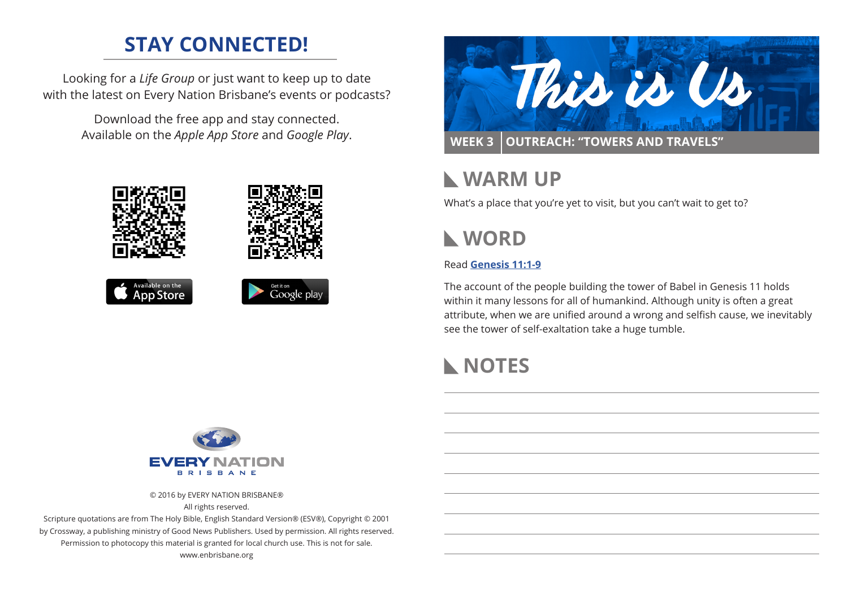# **STAY CONNECTED!**

Looking for a *Life Group* or just want to keep up to date with the latest on Every Nation Brisbane's events or podcasts?

> Download the free app and stay connected. Available on the *Apple App Store* and *Google Play*.





# **WARM UP**

What's a place that you're yet to visit, but you can't wait to get to?

# **WORD**

### Read **Genesis 11:1-[9](https://www.biblegateway.com/passage/?search=Genesis+11%3A1-9&version=ESV)**

The account of the people building the tower of Babel in Genesis 11 holds within it many lessons for all of humankind. Although unity is often a great attribute, when we are unified around a wrong and selfish cause, we inevitably see the tower of self-exaltation take a huge tumble.

# **NOTES**



© 2016 by EVERY NATION BRISBANE®

All rights reserved.

Scripture quotations are from The Holy Bible, English Standard Version® (ESV®), Copyright © 2001 by Crossway, a publishing ministry of Good News Publishers. Used by permission. All rights reserved. Permission to photocopy this material is granted for local church use. This is not for sale. www.enbrisbane.org